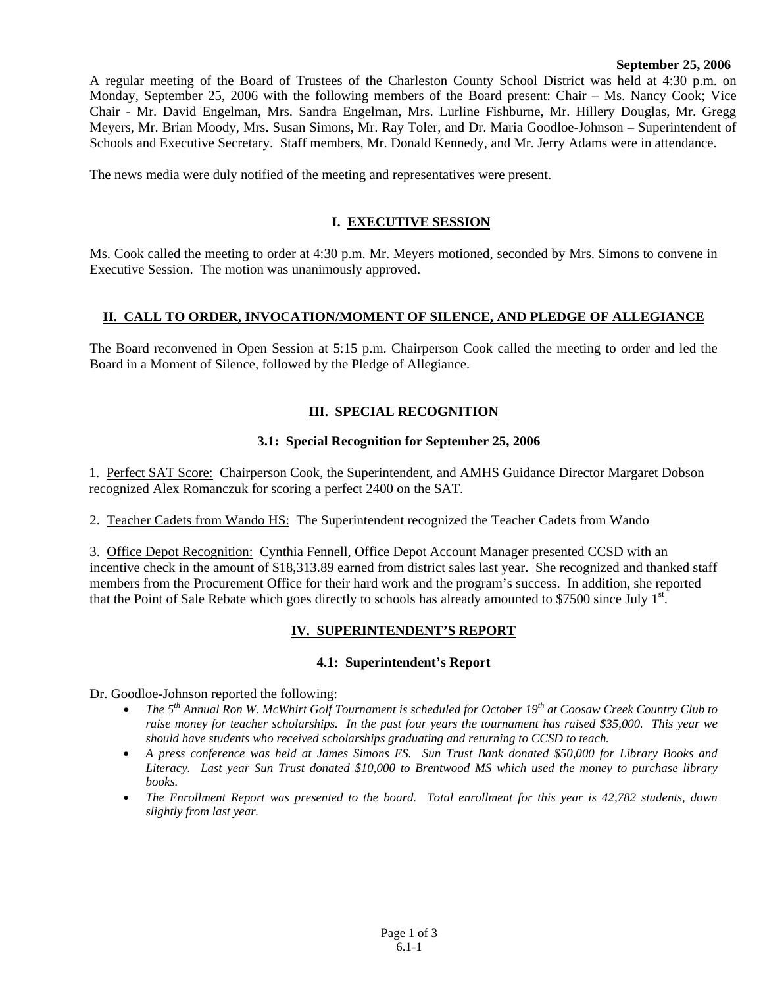#### **September 25, 2006**

A regular meeting of the Board of Trustees of the Charleston County School District was held at 4:30 p.m. on Monday, September 25, 2006 with the following members of the Board present: Chair – Ms. Nancy Cook; Vice Chair - Mr. David Engelman, Mrs. Sandra Engelman, Mrs. Lurline Fishburne, Mr. Hillery Douglas, Mr. Gregg Meyers, Mr. Brian Moody, Mrs. Susan Simons, Mr. Ray Toler, and Dr. Maria Goodloe-Johnson – Superintendent of Schools and Executive Secretary. Staff members, Mr. Donald Kennedy, and Mr. Jerry Adams were in attendance.

The news media were duly notified of the meeting and representatives were present.

# **I. EXECUTIVE SESSION**

Ms. Cook called the meeting to order at 4:30 p.m. Mr. Meyers motioned, seconded by Mrs. Simons to convene in Executive Session. The motion was unanimously approved.

# **II. CALL TO ORDER, INVOCATION/MOMENT OF SILENCE, AND PLEDGE OF ALLEGIANCE**

The Board reconvened in Open Session at 5:15 p.m. Chairperson Cook called the meeting to order and led the Board in a Moment of Silence, followed by the Pledge of Allegiance.

# **III. SPECIAL RECOGNITION**

# **3.1: Special Recognition for September 25, 2006**

1. Perfect SAT Score: Chairperson Cook, the Superintendent, and AMHS Guidance Director Margaret Dobson recognized Alex Romanczuk for scoring a perfect 2400 on the SAT.

2. Teacher Cadets from Wando HS: The Superintendent recognized the Teacher Cadets from Wando

3. Office Depot Recognition: Cynthia Fennell, Office Depot Account Manager presented CCSD with an incentive check in the amount of \$18,313.89 earned from district sales last year. She recognized and thanked staff members from the Procurement Office for their hard work and the program's success. In addition, she reported that the Point of Sale Rebate which goes directly to schools has already amounted to \$7500 since July  $1<sup>st</sup>$ .

# **IV. SUPERINTENDENT'S REPORT**

# **4.1: Superintendent's Report**

Dr. Goodloe-Johnson reported the following:

- *The 5th Annual Ron W. McWhirt Golf Tournament is scheduled for October 19th at Coosaw Creek Country Club to raise money for teacher scholarships. In the past four years the tournament has raised \$35,000. This year we should have students who received scholarships graduating and returning to CCSD to teach.*
- *A press conference was held at James Simons ES. Sun Trust Bank donated \$50,000 for Library Books and Literacy. Last year Sun Trust donated \$10,000 to Brentwood MS which used the money to purchase library books.*
- *The Enrollment Report was presented to the board. Total enrollment for this year is 42,782 students, down slightly from last year.*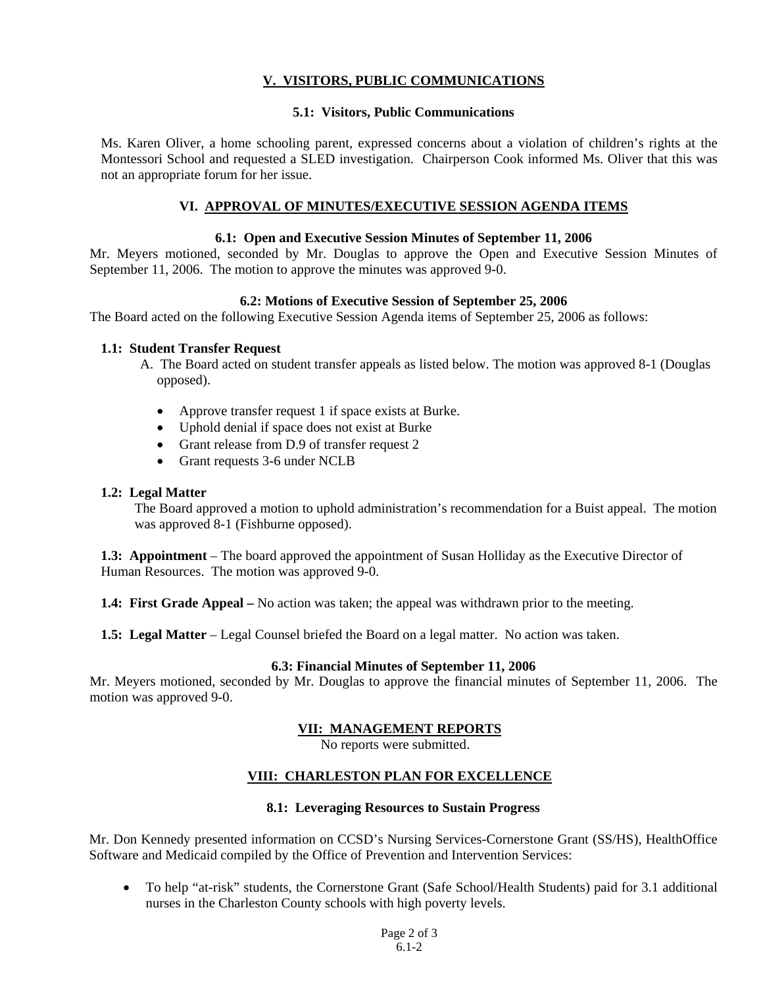# **V. VISITORS, PUBLIC COMMUNICATIONS**

# **5.1: Visitors, Public Communications**

Ms. Karen Oliver, a home schooling parent, expressed concerns about a violation of children's rights at the Montessori School and requested a SLED investigation. Chairperson Cook informed Ms. Oliver that this was not an appropriate forum for her issue.

# **VI. APPROVAL OF MINUTES/EXECUTIVE SESSION AGENDA ITEMS**

### **6.1: Open and Executive Session Minutes of September 11, 2006**

Mr. Meyers motioned, seconded by Mr. Douglas to approve the Open and Executive Session Minutes of September 11, 2006. The motion to approve the minutes was approved  $9-0$ .

# **6.2: Motions of Executive Session of September 25, 2006**

The Board acted on the following Executive Session Agenda items of September 25, 2006 as follows:

### **1.1: Student Transfer Request**

- A. The Board acted on student transfer appeals as listed below. The motion was approved 8-1 (Douglas opposed).
	- Approve transfer request 1 if space exists at Burke.
	- Uphold denial if space does not exist at Burke
	- Grant release from D.9 of transfer request 2
	- Grant requests 3-6 under NCLB

### **1.2: Legal Matter**

 The Board approved a motion to uphold administration's recommendation for a Buist appeal. The motion was approved 8-1 (Fishburne opposed).

**1.3: Appointment** – The board approved the appointment of Susan Holliday as the Executive Director of Human Resources. The motion was approved 9-0.

**1.4: First Grade Appeal –** No action was taken; the appeal was withdrawn prior to the meeting.

**1.5: Legal Matter** – Legal Counsel briefed the Board on a legal matter. No action was taken.

# **6.3: Financial Minutes of September 11, 2006**

Mr. Meyers motioned, seconded by Mr. Douglas to approve the financial minutes of September 11, 2006. The motion was approved 9-0.

# **VII: MANAGEMENT REPORTS**

No reports were submitted.

# **VIII: CHARLESTON PLAN FOR EXCELLENCE**

#### **8.1: Leveraging Resources to Sustain Progress**

Mr. Don Kennedy presented information on CCSD's Nursing Services-Cornerstone Grant (SS/HS), HealthOffice Software and Medicaid compiled by the Office of Prevention and Intervention Services:

• To help "at-risk" students, the Cornerstone Grant (Safe School/Health Students) paid for 3.1 additional nurses in the Charleston County schools with high poverty levels.